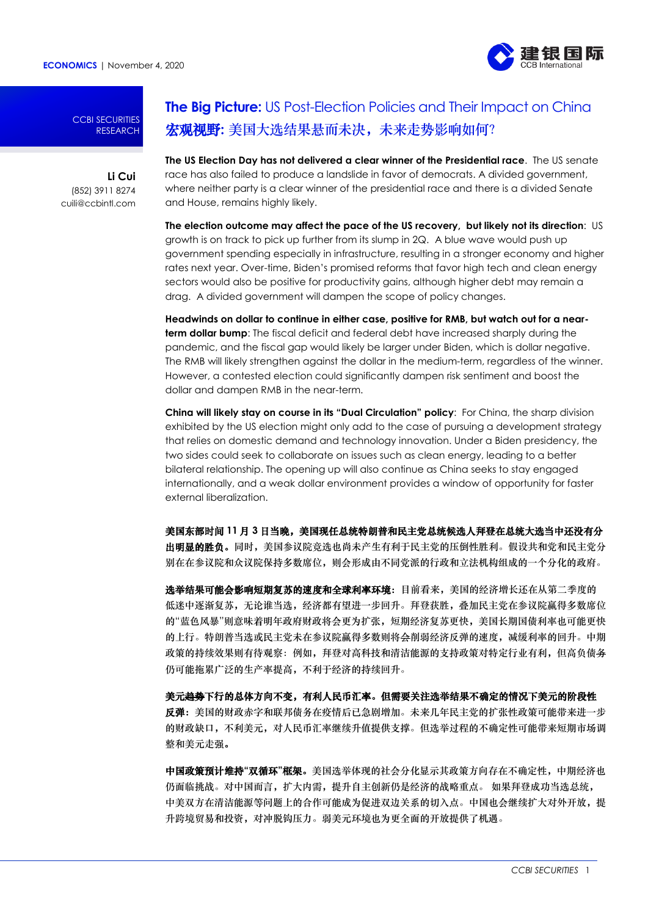**ECONOMICS** | November 4, 2020



CCBI SECURITIES RESEARCH

# **Li Cui** (852) 3911 8274 cuili@ccbintl.com

# **The Big Picture:** US Post-Election Policies and Their Impact on China 宏观视野: 美国大选结果悬而未决, 未来走势影响如何?

**The US Election Day has not delivered a clear winner of the Presidential race**. The US senate race has also failed to produce a landslide in favor of democrats. A divided government, where neither party is a clear winner of the presidential race and there is a divided Senate and House, remains highly likely.

**The election outcome may affect the pace of the US recovery, but likely not its direction**: US growth is on track to pick up further from its slump in 2Q. A blue wave would push up government spending especially in infrastructure, resulting in a stronger economy and higher rates next year. Over-time, Biden's promised reforms that favor high tech and clean energy sectors would also be positive for productivity gains, although higher debt may remain a drag. A divided government will dampen the scope of policy changes.

**Headwinds on dollar to continue in either case, positive for RMB, but watch out for a nearterm dollar bump**: The fiscal deficit and federal debt have increased sharply during the pandemic, and the fiscal gap would likely be larger under Biden, which is dollar negative. The RMB will likely strengthen against the dollar in the medium-term, regardless of the winner. However, a contested election could significantly dampen risk sentiment and boost the dollar and dampen RMB in the near-term.

**China will likely stay on course in its "Dual Circulation" policy**: For China, the sharp division exhibited by the US election might only add to the case of pursuing a development strategy that relies on domestic demand and technology innovation. Under a Biden presidency, the two sides could seek to collaborate on issues such as clean energy, leading to a better bilateral relationship. The opening up will also continue as China seeks to stay engaged internationally, and a weak dollar environment provides a window of opportunity for faster external liberalization.

美国东部时间 **11** 月 **3** 日当晚,美国现任总统特朗普和民主党总统候选人拜登在总统大选当中还没有分 出明显的胜负。同时,美国参议院竞选也尚未产生有利于民主党的压倒性胜利。假设共和党和民主党分 别在在参议院和众议院保持多数席位,则会形成由不同党派的行政和立法机构组成的一个分化的政府。

选举结果可能会影响短期复苏的速度和全球利率环境:目前看来,美国的经济增长还在从第二季度的 低迷中逐渐复苏,无论谁当选,经济都有望进一步回升。拜登获胜,叠加民主党在参议院赢得多数席位 的"蓝色风暴"则意味着明年政府财政将会更为扩张,短期经济复苏更快,美国长期国债利率也可能更快 的上行。特朗普当选或民主党未在参议院赢得多数则将会削弱经济反弹的速度,减缓利率的回升。中期 政策的持续效果则有待观察:例如,拜登对高科技和清洁能源的支持政策对特定行业有利,但高负债务 仍可能拖累广泛的生产率提高,不利于经济的持续回升。

美元趋势下行的总体方向不变,有利人民币汇率。但需要关注选举结果不确定的情况下美元的阶段性 反弹:美国的财政赤字和联邦债务在疫情后已急剧增加。未来几年民主党的扩张性政策可能带来进一步 的财政缺口,不利美元,对人民币汇率继续升值提供支撑。但选举过程的不确定性可能带来短期市场调 整和美元走强。

中国政策预计维持**"**双循环**"**框架。美国选举体现的社会分化显示其政策方向存在不确定性,中期经济也 仍面临挑战。对中国而言,扩大内需,提升自主创新仍是经济的战略重点。 如果拜登成功当选总统, 中美双方在清洁能源等问题上的合作可能成为促进双边关系的切入点。中国也会继续扩大对外开放,提 升跨境贸易和投资,对冲脱钩压力。弱美元环境也为更全面的开放提供了机遇。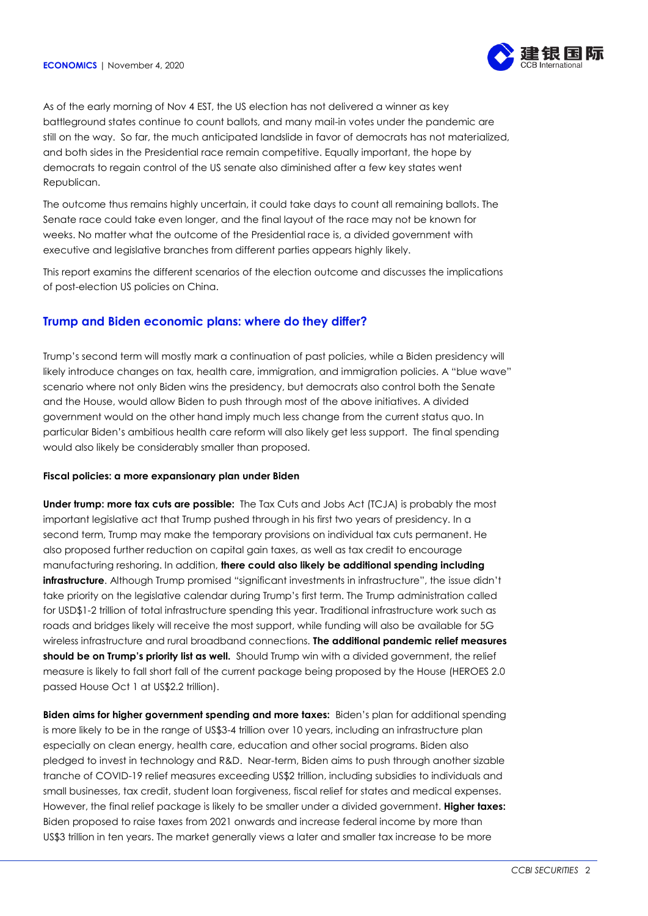

As of the early morning of Nov 4 EST, the US election has not delivered a winner as key battleground states continue to count ballots, and many mail-in votes under the pandemic are still on the way. So far, the much anticipated landslide in favor of democrats has not materialized, and both sides in the Presidential race remain competitive. Equally important, the hope by democrats to regain control of the US senate also diminished after a few key states went Republican.

The outcome thus remains highly uncertain, it could take days to count all remaining ballots. The Senate race could take even longer, and the final layout of the race may not be known for weeks. No matter what the outcome of the Presidential race is, a divided government with executive and legislative branches from different parties appears highly likely.

This report examins the different scenarios of the election outcome and discusses the implications of post-election US policies on China.

# **Trump and Biden economic plans: where do they differ?**

Trump's second term will mostly mark a continuation of past policies, while a Biden presidency will likely introduce changes on tax, health care, immigration, and immigration policies. A "blue wave" scenario where not only Biden wins the presidency, but democrats also control both the Senate and the House, would allow Biden to push through most of the above initiatives. A divided government would on the other hand imply much less change from the current status quo. In particular Biden's ambitious health care reform will also likely get less support. The final spending would also likely be considerably smaller than proposed.

## **Fiscal policies: a more expansionary plan under Biden**

**Under trump: more tax cuts are possible:** The Tax Cuts and Jobs Act (TCJA) is probably the most important legislative act that Trump pushed through in his first two years of presidency. In a second term, Trump may make the temporary provisions on individual tax cuts permanent. He also proposed further reduction on capital gain taxes, as well as tax credit to encourage manufacturing reshoring. In addition, **there could also likely be additional spending including infrastructure**. Although Trump promised "significant investments in infrastructure", the issue didn't take priority on the legislative calendar during Trump's first term. The Trump administration called for USD\$1-2 trillion of total infrastructure spending this year. Traditional infrastructure work such as roads and bridges likely will receive the most support, while funding will also be available for 5G wireless infrastructure and rural broadband connections. **The additional pandemic relief measures**  should be on Trump's priority list as well. Should Trump win with a divided government, the relief measure is likely to fall short fall of the current package being proposed by the House (HEROES 2.0 passed House Oct 1 at US\$2.2 trillion).

**Biden aims for higher government spending and more taxes:** Biden's plan for additional spending is more likely to be in the range of US\$3-4 trillion over 10 years, including an infrastructure plan especially on clean energy, health care, education and other social programs. Biden also pledged to invest in technology and R&D. Near-term, Biden aims to push through another sizable tranche of COVID-19 relief measures exceeding US\$2 trillion, including subsidies to individuals and small businesses, tax credit, student loan forgiveness, fiscal relief for states and medical expenses. However, the final relief package is likely to be smaller under a divided government. **Higher taxes:** Biden proposed to raise taxes from 2021 onwards and increase federal income by more than US\$3 trillion in ten years. The market generally views a later and smaller tax increase to be more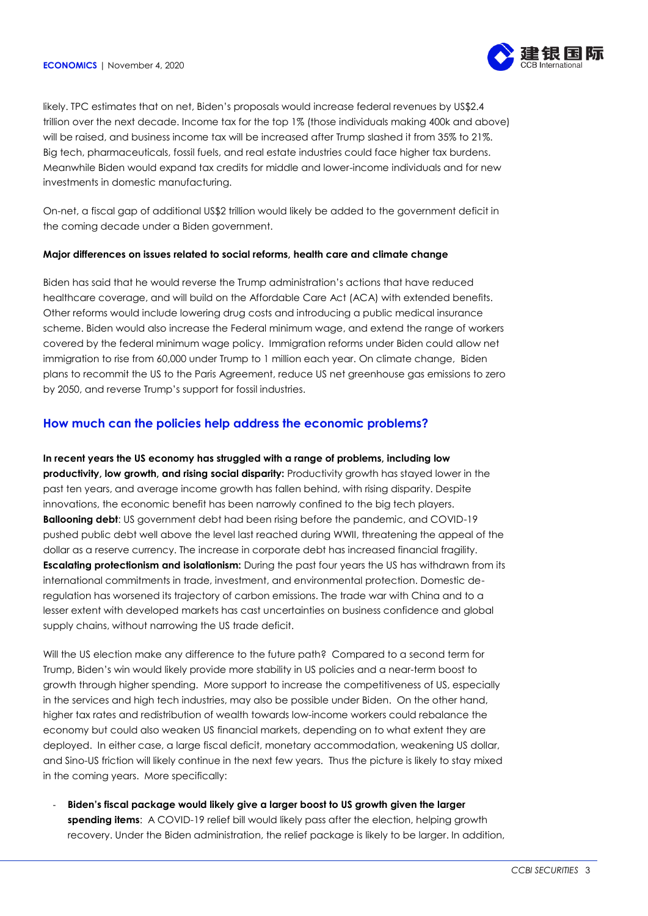

likely. TPC estimates that on net, Biden's proposals would increase federal revenues by US\$2.4 trillion over the next decade. Income tax for the top 1% (those individuals making 400k and above) will be raised, and business income tax will be increased after Trump slashed it from 35% to 21%. Big tech, pharmaceuticals, fossil fuels, and real estate industries could face higher tax burdens. Meanwhile Biden would expand tax credits for middle and lower-income individuals and for new investments in domestic manufacturing.

On-net, a fiscal gap of additional US\$2 trillion would likely be added to the government deficit in the coming decade under a Biden government.

## **Major differences on issues related to social reforms, health care and climate change**

Biden has said that he would reverse the Trump administration's actions that have reduced healthcare coverage, and will build on the Affordable Care Act (ACA) with extended benefits. Other reforms would include lowering drug costs and introducing a public medical insurance scheme. Biden would also increase the Federal minimum wage, and extend the range of workers covered by the federal minimum wage policy. Immigration reforms under Biden could allow net immigration to rise from 60,000 under Trump to 1 million each year. On climate change, Biden plans to recommit the US to the Paris Agreement, reduce US net greenhouse gas emissions to zero by 2050, and reverse Trump's support for fossil industries.

# **How much can the policies help address the economic problems?**

**In recent years the US economy has struggled with a range of problems, including low productivity, low growth, and rising social disparity:** Productivity growth has stayed lower in the past ten years, and average income growth has fallen behind, with rising disparity. Despite innovations, the economic benefit has been narrowly confined to the big tech players. **Ballooning debt**: US government debt had been rising before the pandemic, and COVID-19 pushed public debt well above the level last reached during WWII, threatening the appeal of the dollar as a reserve currency. The increase in corporate debt has increased financial fragility. **Escalating protectionism and isolationism:** During the past four years the US has withdrawn from its international commitments in trade, investment, and environmental protection. Domestic deregulation has worsened its trajectory of carbon emissions. The trade war with China and to a lesser extent with developed markets has cast uncertainties on business confidence and global supply chains, without narrowing the US trade deficit.

Will the US election make any difference to the future path? Compared to a second term for Trump, Biden's win would likely provide more stability in US policies and a near-term boost to growth through higher spending. More support to increase the competitiveness of US, especially in the services and high tech industries, may also be possible under Biden. On the other hand, higher tax rates and redistribution of wealth towards low-income workers could rebalance the economy but could also weaken US financial markets, depending on to what extent they are deployed. In either case, a large fiscal deficit, monetary accommodation, weakening US dollar, and Sino-US friction will likely continue in the next few years. Thus the picture is likely to stay mixed in the coming years. More specifically:

- **Biden's fiscal package would likely give a larger boost to US growth given the larger spending items**: A COVID-19 relief bill would likely pass after the election, helping growth recovery. Under the Biden administration, the relief package is likely to be larger. In addition,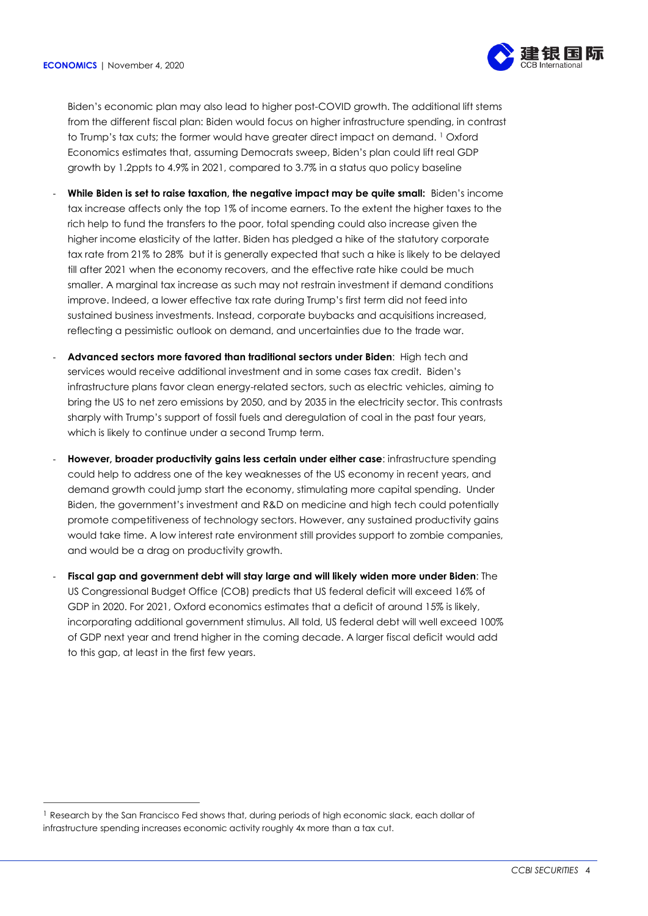$\overline{a}$ 



Biden's economic plan may also lead to higher post-COVID growth. The additional lift stems from the different fiscal plan: Biden would focus on higher infrastructure spending, in contrast to Trump's tax cuts; the former would have greater direct impact on demand. <sup>1</sup> Oxford Economics estimates that, assuming Democrats sweep, Biden's plan could lift real GDP growth by 1.2ppts to 4.9% in 2021, compared to 3.7% in a status quo policy baseline

- **While Biden is set to raise taxation, the negative impact may be quite small:** Biden's income tax increase affects only the top 1% of income earners. To the extent the higher taxes to the rich help to fund the transfers to the poor, total spending could also increase given the higher income elasticity of the latter. Biden has pledged a hike of the statutory corporate tax rate from 21% to 28% but it is generally expected that such a hike is likely to be delayed till after 2021 when the economy recovers, and the effective rate hike could be much smaller. A marginal tax increase as such may not restrain investment if demand conditions improve. Indeed, a lower effective tax rate during Trump's first term did not feed into sustained business investments. Instead, corporate buybacks and acquisitions increased, reflecting a pessimistic outlook on demand, and uncertainties due to the trade war.
- **Advanced sectors more favored than traditional sectors under Biden**: High tech and services would receive additional investment and in some cases tax credit. Biden's infrastructure plans favor clean energy-related sectors, such as electric vehicles, aiming to bring the US to net zero emissions by 2050, and by 2035 in the electricity sector. This contrasts sharply with Trump's support of fossil fuels and deregulation of coal in the past four years, which is likely to continue under a second Trump term.
- **However, broader productivity gains less certain under either case**: infrastructure spending could help to address one of the key weaknesses of the US economy in recent years, and demand growth could jump start the economy, stimulating more capital spending. Under Biden, the government's investment and R&D on medicine and high tech could potentially promote competitiveness of technology sectors. However, any sustained productivity gains would take time. A low interest rate environment still provides support to zombie companies, and would be a drag on productivity growth.
- **Fiscal gap and government debt will stay large and will likely widen more under Biden**: The US Congressional Budget Office (COB) predicts that US federal deficit will exceed 16% of GDP in 2020. For 2021, Oxford economics estimates that a deficit of around 15% is likely, incorporating additional government stimulus. All told, US federal debt will well exceed 100% of GDP next year and trend higher in the coming decade. A larger fiscal deficit would add to this gap, at least in the first few years.

<sup>&</sup>lt;sup>1</sup> Research by the San Francisco Fed shows that, during periods of high economic slack, each dollar of infrastructure spending increases economic activity roughly 4x more than a tax cut.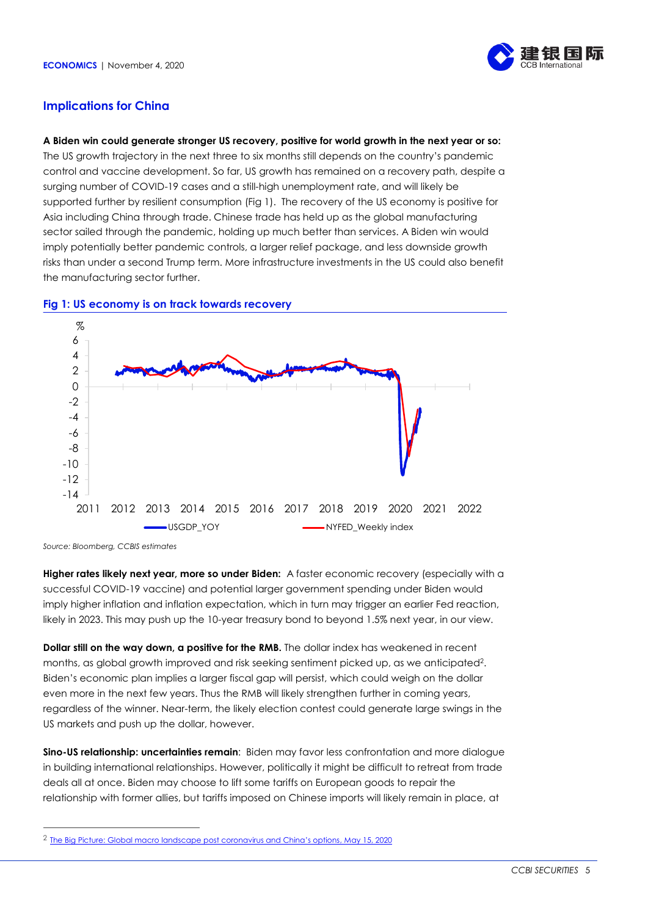

# **Implications for China**

### **A Biden win could generate stronger US recovery, positive for world growth in the next year or so:**

The US growth trajectory in the next three to six months still depends on the country's pandemic control and vaccine development. So far, US growth has remained on a recovery path, despite a surging number of COVID-19 cases and a still-high unemployment rate, and will likely be supported further by resilient consumption (Fig 1). The recovery of the US economy is positive for Asia including China through trade. Chinese trade has held up as the global manufacturing sector sailed through the pandemic, holding up much better than services. A Biden win would imply potentially better pandemic controls, a larger relief package, and less downside growth risks than under a second Trump term. More infrastructure investments in the US could also benefit the manufacturing sector further.



## **Fig 1: US economy is on track towards recovery**

*Source: Bloomberg, CCBIS estimates*

 $\overline{a}$ 

**Higher rates likely next year, more so under Biden:** A faster economic recovery (especially with a successful COVID-19 vaccine) and potential larger government spending under Biden would imply higher inflation and inflation expectation, which in turn may trigger an earlier Fed reaction, likely in 2023. This may push up the 10-year treasury bond to beyond 1.5% next year, in our view.

**Dollar still on the way down, a positive for the RMB.** The dollar index has weakened in recent months, as global growth improved and risk seeking sentiment picked up, as we anticipated<sup>2</sup> . Biden's economic plan implies a larger fiscal gap will persist, which could weigh on the dollar even more in the next few years. Thus the RMB will likely strengthen further in coming years, regardless of the winner. Near-term, the likely election contest could generate large swings in the US markets and push up the dollar, however.

**Sino-US relationship: uncertainties remain**: Biden may favor less confrontation and more dialogue in building international relationships. However, politically it might be difficult to retreat from trade deals all at once. Biden may choose to lift some tariffs on European goods to repair the relationship with former allies, but tariffs imposed on Chinese imports will likely remain in place, at

<sup>&</sup>lt;sup>2</sup> [The Big Picture: Global macro landscape post coronavirus and China's options](https://rfs.ccbintl.com.hk/q-oFB39vG3KMlljmSqdb9B7-j1tffhvSGN36x6riCMCfAyd6W2S_MzDbkMpGpIWr1ctZVlzEm-cWfw2.pdf), May 15, 2020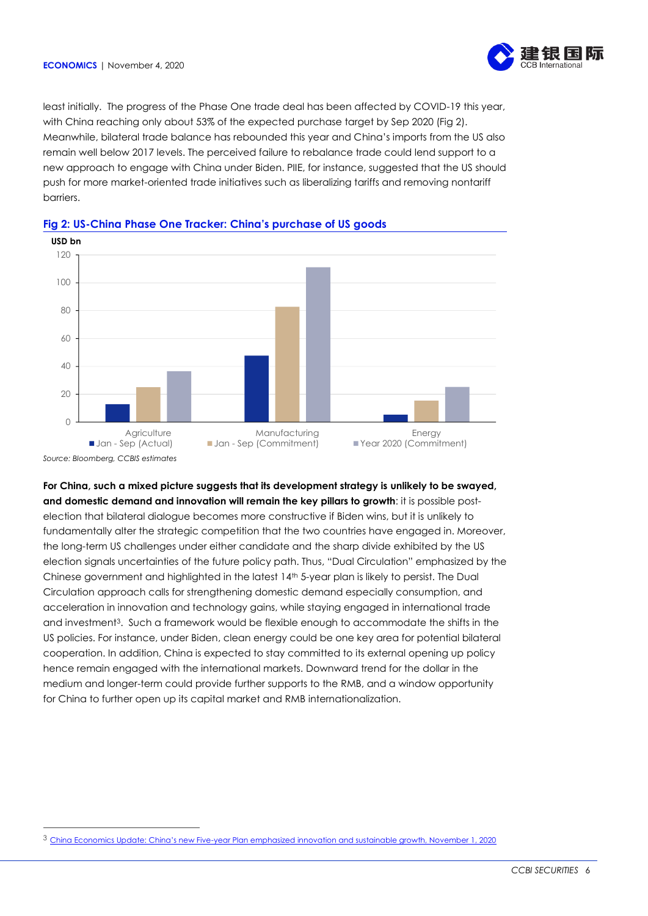

least initially. The progress of the Phase One trade deal has been affected by COVID-19 this year, with China reaching only about 53% of the expected purchase target by Sep 2020 (Fig 2). Meanwhile, bilateral trade balance has rebounded this year and China's imports from the US also remain well below 2017 levels. The perceived failure to rebalance trade could lend support to a new approach to engage with China under Biden. PIIE, for instance, suggested that the US should push for more market-oriented trade initiatives such as liberalizing tariffs and removing nontariff barriers.



# **Fig 2: US-China Phase One Tracker: China's purchase of US goods**

*Source: Bloomberg, CCBIS estimates*

 $\overline{a}$ 

**For China, such a mixed picture suggests that its development strategy is unlikely to be swayed, and domestic demand and innovation will remain the key pillars to growth**: it is possible postelection that bilateral dialogue becomes more constructive if Biden wins, but it is unlikely to fundamentally alter the strategic competition that the two countries have engaged in. Moreover, the long-term US challenges under either candidate and the sharp divide exhibited by the US election signals uncertainties of the future policy path. Thus, "Dual Circulation" emphasized by the Chinese government and highlighted in the latest 14<sup>th</sup> 5-year plan is likely to persist. The Dual Circulation approach calls for strengthening domestic demand especially consumption, and acceleration in innovation and technology gains, while staying engaged in international trade and investment<sup>3</sup>. Such a framework would be flexible enough to accommodate the shifts in the US policies. For instance, under Biden, clean energy could be one key area for potential bilateral cooperation. In addition, China is expected to stay committed to its external opening up policy hence remain engaged with the international markets. Downward trend for the dollar in the medium and longer-term could provide further supports to the RMB, and a window opportunity for China to further open up its capital market and RMB internationalization.

<sup>3</sup> China Economics Update: China's new Five[-year Plan emphasized innovation and sustainable growth, November 1, 2020](http://ccbiweb/intranet/documents/view_one.cfm?ID=11320&menuID=5016)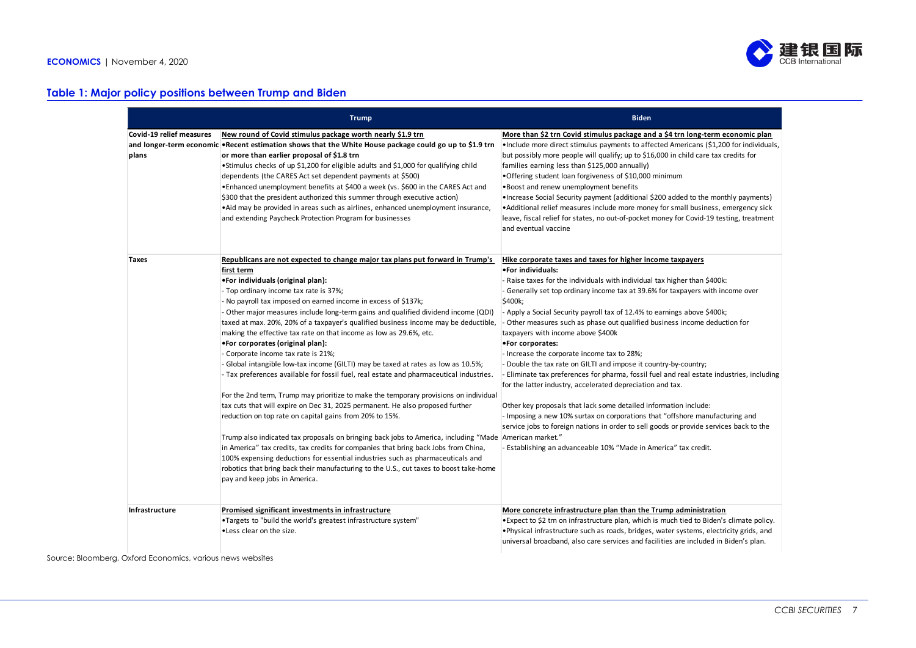

# **Table 1: Major policy positions between Trump and Biden**

|                                   | <b>Trump</b>                                                                                                                                                                                                                                                                                                                                                                                                                                                                                                                                                                                                                                                                              | <b>Biden</b>                                                                                                                                                                                                                                                                                                                                                                                                                                                                                                                                                                                                                                                                                                            |
|-----------------------------------|-------------------------------------------------------------------------------------------------------------------------------------------------------------------------------------------------------------------------------------------------------------------------------------------------------------------------------------------------------------------------------------------------------------------------------------------------------------------------------------------------------------------------------------------------------------------------------------------------------------------------------------------------------------------------------------------|-------------------------------------------------------------------------------------------------------------------------------------------------------------------------------------------------------------------------------------------------------------------------------------------------------------------------------------------------------------------------------------------------------------------------------------------------------------------------------------------------------------------------------------------------------------------------------------------------------------------------------------------------------------------------------------------------------------------------|
| Covid-19 relief measures<br>plans | New round of Covid stimulus package worth nearly \$1.9 trn<br>and longer-term economic •Recent estimation shows that the White House package could go up to \$1.9 trn<br>or more than earlier proposal of \$1.8 trn<br>•Stimulus checks of up \$1,200 for eligible adults and \$1,000 for qualifying child<br>dependents (the CARES Act set dependent payments at \$500)<br>•Enhanced unemployment benefits at \$400 a week (vs. \$600 in the CARES Act and<br>\$300 that the president authorized this summer through executive action)<br>• Aid may be provided in areas such as airlines, enhanced unemployment insurance,<br>and extending Paycheck Protection Program for businesses | More than \$2 trn Covid stimulus package and a \$4 trn long-term economic plan<br>•Include more direct stimulus payments to affected Americans (\$1,200 for individuals,<br>but possibly more people will qualify; up to \$16,000 in child care tax credits for<br>families earning less than \$125,000 annually)<br>. Offering student loan forgiveness of \$10,000 minimum<br>. Boost and renew unemployment benefits<br>• Increase Social Security payment (additional \$200 added to the monthly payments)<br>• Additional relief measures include more money for small business, emergency sick<br>leave, fiscal relief for states, no out-of-pocket money for Covid-19 testing, treatment<br>and eventual vaccine |
| <b>Taxes</b>                      | Republicans are not expected to change major tax plans put forward in Trump's                                                                                                                                                                                                                                                                                                                                                                                                                                                                                                                                                                                                             | Hike corporate taxes and taxes for higher income taxpayers                                                                                                                                                                                                                                                                                                                                                                                                                                                                                                                                                                                                                                                              |
|                                   | first term                                                                                                                                                                                                                                                                                                                                                                                                                                                                                                                                                                                                                                                                                | .For individuals:                                                                                                                                                                                                                                                                                                                                                                                                                                                                                                                                                                                                                                                                                                       |
|                                   | .For individuals (original plan):                                                                                                                                                                                                                                                                                                                                                                                                                                                                                                                                                                                                                                                         | - Raise taxes for the individuals with individual tax higher than \$400k:                                                                                                                                                                                                                                                                                                                                                                                                                                                                                                                                                                                                                                               |
|                                   | - Top ordinary income tax rate is 37%;                                                                                                                                                                                                                                                                                                                                                                                                                                                                                                                                                                                                                                                    | Generally set top ordinary income tax at 39.6% for taxpayers with income over                                                                                                                                                                                                                                                                                                                                                                                                                                                                                                                                                                                                                                           |
|                                   | No payroll tax imposed on earned income in excess of \$137k;                                                                                                                                                                                                                                                                                                                                                                                                                                                                                                                                                                                                                              | \$400k;                                                                                                                                                                                                                                                                                                                                                                                                                                                                                                                                                                                                                                                                                                                 |
|                                   | Other major measures include long-term gains and qualified dividend income (QDI)                                                                                                                                                                                                                                                                                                                                                                                                                                                                                                                                                                                                          | - Apply a Social Security payroll tax of 12.4% to earnings above \$400k;                                                                                                                                                                                                                                                                                                                                                                                                                                                                                                                                                                                                                                                |
|                                   | taxed at max. 20%, 20% of a taxpayer's qualified business income may be deductible,                                                                                                                                                                                                                                                                                                                                                                                                                                                                                                                                                                                                       | - Other measures such as phase out qualified business income deduction for                                                                                                                                                                                                                                                                                                                                                                                                                                                                                                                                                                                                                                              |
|                                   | making the effective tax rate on that income as low as 29.6%, etc.                                                                                                                                                                                                                                                                                                                                                                                                                                                                                                                                                                                                                        | taxpayers with income above \$400k                                                                                                                                                                                                                                                                                                                                                                                                                                                                                                                                                                                                                                                                                      |
|                                   | •For corporates (original plan):                                                                                                                                                                                                                                                                                                                                                                                                                                                                                                                                                                                                                                                          | •For corporates:                                                                                                                                                                                                                                                                                                                                                                                                                                                                                                                                                                                                                                                                                                        |
|                                   | Corporate income tax rate is 21%;<br>Global intangible low-tax income (GILTI) may be taxed at rates as low as 10.5%;                                                                                                                                                                                                                                                                                                                                                                                                                                                                                                                                                                      | - Increase the corporate income tax to 28%;<br>Double the tax rate on GILTI and impose it country-by-country;                                                                                                                                                                                                                                                                                                                                                                                                                                                                                                                                                                                                           |
|                                   | Tax preferences available for fossil fuel, real estate and pharmaceutical industries.                                                                                                                                                                                                                                                                                                                                                                                                                                                                                                                                                                                                     | Eliminate tax preferences for pharma, fossil fuel and real estate industries, including<br>for the latter industry, accelerated depreciation and tax.                                                                                                                                                                                                                                                                                                                                                                                                                                                                                                                                                                   |
|                                   | For the 2nd term, Trump may prioritize to make the temporary provisions on individual                                                                                                                                                                                                                                                                                                                                                                                                                                                                                                                                                                                                     |                                                                                                                                                                                                                                                                                                                                                                                                                                                                                                                                                                                                                                                                                                                         |
|                                   | tax cuts that will expire on Dec 31, 2025 permanent. He also proposed further                                                                                                                                                                                                                                                                                                                                                                                                                                                                                                                                                                                                             | Other key proposals that lack some detailed information include:                                                                                                                                                                                                                                                                                                                                                                                                                                                                                                                                                                                                                                                        |
|                                   | reduction on top rate on capital gains from 20% to 15%.                                                                                                                                                                                                                                                                                                                                                                                                                                                                                                                                                                                                                                   | - Imposing a new 10% surtax on corporations that "offshore manufacturing and                                                                                                                                                                                                                                                                                                                                                                                                                                                                                                                                                                                                                                            |
|                                   |                                                                                                                                                                                                                                                                                                                                                                                                                                                                                                                                                                                                                                                                                           | service jobs to foreign nations in order to sell goods or provide services back to the                                                                                                                                                                                                                                                                                                                                                                                                                                                                                                                                                                                                                                  |
|                                   | Trump also indicated tax proposals on bringing back jobs to America, including "Made American market."                                                                                                                                                                                                                                                                                                                                                                                                                                                                                                                                                                                    |                                                                                                                                                                                                                                                                                                                                                                                                                                                                                                                                                                                                                                                                                                                         |
|                                   | in America" tax credits, tax credits for companies that bring back Jobs from China,                                                                                                                                                                                                                                                                                                                                                                                                                                                                                                                                                                                                       | Establishing an advanceable 10% "Made in America" tax credit.                                                                                                                                                                                                                                                                                                                                                                                                                                                                                                                                                                                                                                                           |
|                                   | 100% expensing deductions for essential industries such as pharmaceuticals and                                                                                                                                                                                                                                                                                                                                                                                                                                                                                                                                                                                                            |                                                                                                                                                                                                                                                                                                                                                                                                                                                                                                                                                                                                                                                                                                                         |
|                                   | robotics that bring back their manufacturing to the U.S., cut taxes to boost take-home                                                                                                                                                                                                                                                                                                                                                                                                                                                                                                                                                                                                    |                                                                                                                                                                                                                                                                                                                                                                                                                                                                                                                                                                                                                                                                                                                         |
|                                   | pay and keep jobs in America.                                                                                                                                                                                                                                                                                                                                                                                                                                                                                                                                                                                                                                                             |                                                                                                                                                                                                                                                                                                                                                                                                                                                                                                                                                                                                                                                                                                                         |
| Infrastructure                    | Promised significant investments in infrastructure                                                                                                                                                                                                                                                                                                                                                                                                                                                                                                                                                                                                                                        | More concrete infrastructure plan than the Trump administration                                                                                                                                                                                                                                                                                                                                                                                                                                                                                                                                                                                                                                                         |
|                                   | •Targets to "build the world's greatest infrastructure system"                                                                                                                                                                                                                                                                                                                                                                                                                                                                                                                                                                                                                            | . Expect to \$2 trn on infrastructure plan, which is much tied to Biden's climate policy.                                                                                                                                                                                                                                                                                                                                                                                                                                                                                                                                                                                                                               |
|                                   | .Less clear on the size.                                                                                                                                                                                                                                                                                                                                                                                                                                                                                                                                                                                                                                                                  | . Physical infrastructure such as roads, bridges, water systems, electricity grids, and                                                                                                                                                                                                                                                                                                                                                                                                                                                                                                                                                                                                                                 |
|                                   |                                                                                                                                                                                                                                                                                                                                                                                                                                                                                                                                                                                                                                                                                           | universal broadband, also care services and facilities are included in Biden's plan.                                                                                                                                                                                                                                                                                                                                                                                                                                                                                                                                                                                                                                    |

Source: Bloomberg, Oxford Economics, various news websites where the control of the control of the control of the control of the control of the control of the control of the control of the control of the control of the con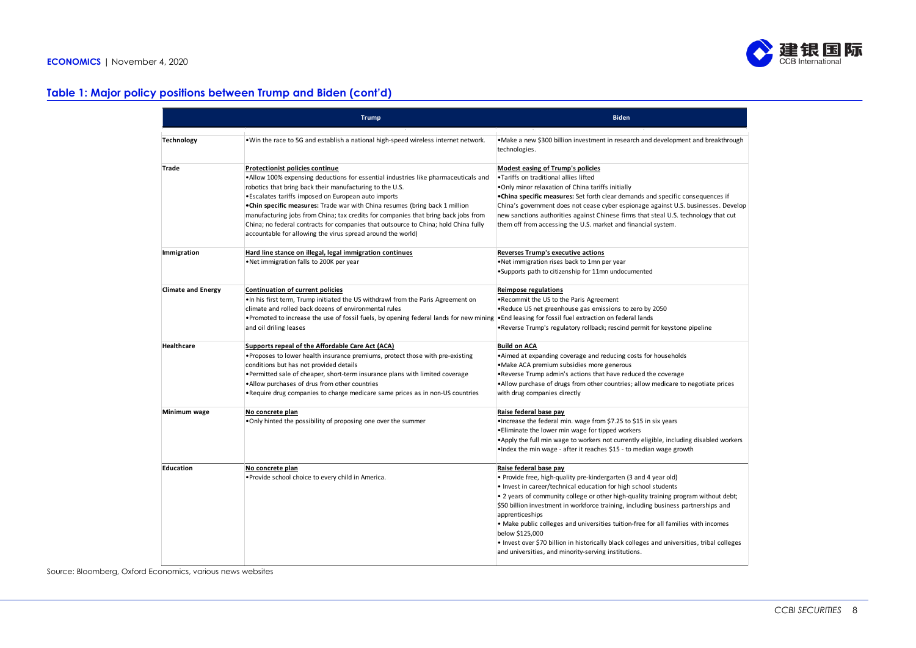# **Table 1: Major policy positions between Trump and Biden (cont'd) Infrastructure Promised significant investments in infrastructure**

|                           | <b>Trump</b>                                                                                                                                                                                                                                                                                                                                                                                                                                                                                                                                                                | <b>Biden</b>                                                                                                                                                                                                                                                                                                                                                                                                                                                                                                                                                                                                                  |
|---------------------------|-----------------------------------------------------------------------------------------------------------------------------------------------------------------------------------------------------------------------------------------------------------------------------------------------------------------------------------------------------------------------------------------------------------------------------------------------------------------------------------------------------------------------------------------------------------------------------|-------------------------------------------------------------------------------------------------------------------------------------------------------------------------------------------------------------------------------------------------------------------------------------------------------------------------------------------------------------------------------------------------------------------------------------------------------------------------------------------------------------------------------------------------------------------------------------------------------------------------------|
| <b>Technology</b>         | . Win the race to 5G and establish a national high-speed wireless internet network.                                                                                                                                                                                                                                                                                                                                                                                                                                                                                         | . Make a new \$300 billion investment in research and development and breakthrough<br>technologies.                                                                                                                                                                                                                                                                                                                                                                                                                                                                                                                           |
| Trade                     | <b>Protectionist policies continue</b><br>.Allow 100% expensing deductions for essential industries like pharmaceuticals and<br>robotics that bring back their manufacturing to the U.S.<br>·Escalates tariffs imposed on European auto imports<br>. Chin specific measures: Trade war with China resumes (bring back 1 million<br>manufacturing jobs from China; tax credits for companies that bring back jobs from<br>China; no federal contracts for companies that outsource to China; hold China fully<br>accountable for allowing the virus spread around the world) | Modest easing of Trump's policies<br>. Tariffs on traditional allies lifted<br>.Only minor relaxation of China tariffs initially<br>.China specific measures: Set forth clear demands and specific consequences if<br>China's government does not cease cyber espionage against U.S. businesses. Develop<br>new sanctions authorities against Chinese firms that steal U.S. technology that cut<br>them off from accessing the U.S. market and financial system.                                                                                                                                                              |
| Immigration               | Hard line stance on illegal, legal immigration continues<br>.Net immigration falls to 200K per year                                                                                                                                                                                                                                                                                                                                                                                                                                                                         | Reverses Trump's executive actions<br>.Net immigration rises back to 1mn per year<br>. Supports path to citizenship for 11mn undocumented                                                                                                                                                                                                                                                                                                                                                                                                                                                                                     |
| <b>Climate and Energy</b> | Continuation of current policies<br>. In his first term, Trump initiated the US withdrawl from the Paris Agreement on<br>climate and rolled back dozens of environmental rules<br>. Promoted to increase the use of fossil fuels, by opening federal lands for new mining<br>and oil driling leases                                                                                                                                                                                                                                                                         | <b>Reimpose regulations</b><br>.Recommit the US to the Paris Agreement<br>.Reduce US net greenhouse gas emissions to zero by 2050<br>. End leasing for fossil fuel extraction on federal lands<br>. Reverse Trump's regulatory rollback; rescind permit for keystone pipeline                                                                                                                                                                                                                                                                                                                                                 |
| <b>Healthcare</b>         | Supports repeal of the Affordable Care Act (ACA)<br>. Proposes to lower health insurance premiums, protect those with pre-existing<br>conditions but has not provided details<br>. Permitted sale of cheaper, short-term insurance plans with limited coverage<br>. Allow purchases of drus from other countries<br>. Require drug companies to charge medicare same prices as in non-US countries                                                                                                                                                                          | <b>Build on ACA</b><br>•Aimed at expanding coverage and reducing costs for households<br>• Make ACA premium subsidies more generous<br>.Reverse Trump admin's actions that have reduced the coverage<br>.Allow purchase of drugs from other countries; allow medicare to negotiate prices<br>with drug companies directly                                                                                                                                                                                                                                                                                                     |
| Minimum wage              | No concrete plan<br>. Only hinted the possibility of proposing one over the summer                                                                                                                                                                                                                                                                                                                                                                                                                                                                                          | Raise federal base pay<br>. Increase the federal min. wage from \$7.25 to \$15 in six years<br>. Eliminate the lower min wage for tipped workers<br>•Apply the full min wage to workers not currently eligible, including disabled workers<br>. Index the min wage - after it reaches \$15 - to median wage growth                                                                                                                                                                                                                                                                                                            |
| Education                 | No concrete plan<br>. Provide school choice to every child in America.                                                                                                                                                                                                                                                                                                                                                                                                                                                                                                      | Raise federal base pay<br>. Provide free, high-quality pre-kindergarten (3 and 4 year old)<br>. Invest in career/technical education for high school students<br>. 2 years of community college or other high-quality training program without debt;<br>\$50 billion investment in workforce training, including business partnerships and<br>apprenticeships<br>• Make public colleges and universities tuition-free for all families with incomes<br>below \$125,000<br>. Invest over \$70 billion in historically black colleges and universities, tribal colleges<br>and universities, and minority-serving institutions. |

them off from accessing the U.S. market and financial system.

China; no federal contracts for companies that outsource to China; hold China fully

Source: Bloomberg, Oxford Economics, various news websites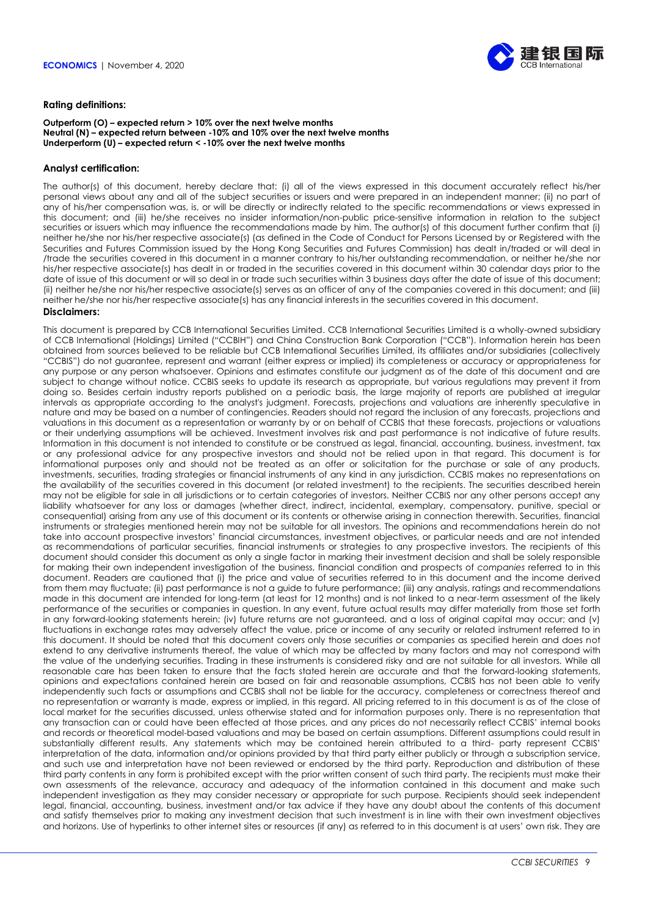

#### **Rating definitions:**

#### **Outperform (O) – expected return > 10% over the next twelve months Neutral (N) – expected return between -10% and 10% over the next twelve months Underperform (U) – expected return < -10% over the next twelve months**

#### **Analyst certification:**

The author(s) of this document, hereby declare that: (i) all of the views expressed in this document accurately reflect his/her personal views about any and all of the subject securities or issuers and were prepared in an independent manner; (ii) no part of any of his/her compensation was, is, or will be directly or indirectly related to the specific recommendations or views expressed in this document; and (iii) he/she receives no insider information/non-public price-sensitive information in relation to the subject securities or issuers which may influence the recommendations made by him. The author(s) of this document further confirm that (i) neither he/she nor his/her respective associate(s) (as defined in the Code of Conduct for Persons Licensed by or Registered with the Securities and Futures Commission issued by the Hong Kong Securities and Futures Commission) has dealt in/traded or will deal in /trade the securities covered in this document in a manner contrary to his/her outstanding recommendation, or neither he/she nor his/her respective associate(s) has dealt in or traded in the securities covered in this document within 30 calendar days prior to the date of issue of this document or will so deal in or trade such securities within 3 business days after the date of issue of this document; (ii) neither he/she nor his/her respective associate(s) serves as an officer of any of the companies covered in this document; and (iii) neither he/she nor his/her respective associate(s) has any financial interests in the securities covered in this document.

#### **Disclaimers:**

This document is prepared by CCB International Securities Limited. CCB International Securities Limited is a wholly-owned subsidiary of CCB International (Holdings) Limited ("CCBIH") and China Construction Bank Corporation ("CCB"). Information herein has been obtained from sources believed to be reliable but CCB International Securities Limited, its affiliates and/or subsidiaries (collectively "CCBIS") do not guarantee, represent and warrant (either express or implied) its completeness or accuracy or appropriateness for any purpose or any person whatsoever. Opinions and estimates constitute our judgment as of the date of this document and are subject to change without notice. CCBIS seeks to update its research as appropriate, but various regulations may prevent it from doing so. Besides certain industry reports published on a periodic basis, the large majority of reports are published at irregular intervals as appropriate according to the analyst's judgment. Forecasts, projections and valuations are inherently speculative in nature and may be based on a number of contingencies. Readers should not regard the inclusion of any forecasts, projections and valuations in this document as a representation or warranty by or on behalf of CCBIS that these forecasts, projections or valuations or their underlying assumptions will be achieved. Investment involves risk and past performance is not indicative of future results. Information in this document is not intended to constitute or be construed as legal, financial, accounting, business, investment, tax or any professional advice for any prospective investors and should not be relied upon in that regard. This document is for informational purposes only and should not be treated as an offer or solicitation for the purchase or sale of any products, investments, securities, trading strategies or financial instruments of any kind in any jurisdiction. CCBIS makes no representations on the availability of the securities covered in this document (or related investment) to the recipients. The securities described herein may not be eligible for sale in all jurisdictions or to certain categories of investors. Neither CCBIS nor any other persons accept any liability whatsoever for any loss or damages (whether direct, indirect, incidental, exemplary, compensatory, punitive, special or consequential) arising from any use of this document or its contents or otherwise arising in connection therewith. Securities, financial instruments or strategies mentioned herein may not be suitable for all investors. The opinions and recommendations herein do not take into account prospective investors' financial circumstances, investment objectives, or particular needs and are not intended as recommendations of particular securities, financial instruments or strategies to any prospective investors. The recipients of this document should consider this document as only a single factor in marking their investment decision and shall be solely responsible for making their own independent investigation of the business, financial condition and prospects of *companies* referred to in this document. Readers are cautioned that (i) the price and value of securities referred to in this document and the income derived from them may fluctuate; (ii) past performance is not a guide to future performance; (iii) any analysis, ratings and recommendations made in this document are intended for long-term (at least for 12 months) and is not linked to a near-term assessment of the likely performance of the securities or companies in question. In any event, future actual results may differ materially from those set forth in any forward-looking statements herein; (iv) future returns are not guaranteed, and a loss of original capital may occur; and (v) fluctuations in exchange rates may adversely affect the value, price or income of any security or related instrument referred to in this document. It should be noted that this document covers only those securities or companies as specified herein and does not extend to any derivative instruments thereof, the value of which may be affected by many factors and may not correspond with the value of the underlying securities. Trading in these instruments is considered risky and are not suitable for all investors. While all reasonable care has been taken to ensure that the facts stated herein are accurate and that the forward-looking statements, opinions and expectations contained herein are based on fair and reasonable assumptions, CCBIS has not been able to verify independently such facts or assumptions and CCBIS shall not be liable for the accuracy, completeness or correctness thereof and no representation or warranty is made, express or implied, in this regard. All pricing referred to in this document is as of the close of local market for the securities discussed, unless otherwise stated and for information purposes only. There is no representation that any transaction can or could have been effected at those prices, and any prices do not necessarily reflect CCBIS' internal books and records or theoretical model-based valuations and may be based on certain assumptions. Different assumptions could result in substantially different results. Any statements which may be contained herein attributed to a third- party represent CCBIS' interpretation of the data, information and/or opinions provided by that third party either publicly or through a subscription service, and such use and interpretation have not been reviewed or endorsed by the third party. Reproduction and distribution of these third party contents in any form is prohibited except with the prior written consent of such third party. The recipients must make their own assessments of the relevance, accuracy and adequacy of the information contained in this document and make such independent investigation as they may consider necessary or appropriate for such purpose. Recipients should seek independent legal, financial, accounting, business, investment and/or tax advice if they have any doubt about the contents of this document and satisfy themselves prior to making any investment decision that such investment is in line with their own investment objectives and horizons. Use of hyperlinks to other internet sites or resources (if any) as referred to in this document is at users' own risk. They are